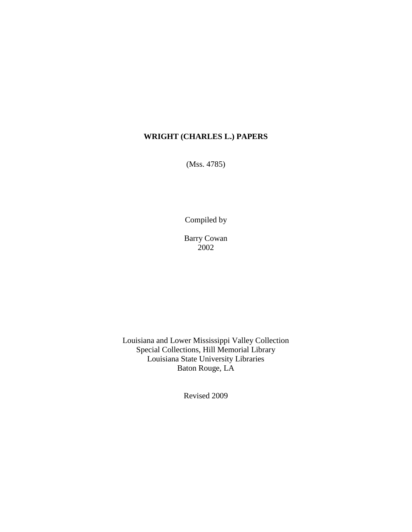(Mss. 4785)

Compiled by

Barry Cowan 2002

Louisiana and Lower Mississippi Valley Collection Special Collections, Hill Memorial Library Louisiana State University Libraries Baton Rouge, LA

Revised 2009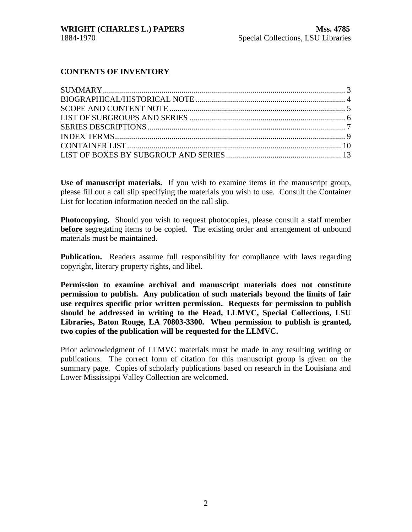#### **CONTENTS OF INVENTORY**

**Use of manuscript materials.** If you wish to examine items in the manuscript group, please fill out a call slip specifying the materials you wish to use. Consult the Container List for location information needed on the call slip.

**Photocopying.** Should you wish to request photocopies, please consult a staff member **before** segregating items to be copied. The existing order and arrangement of unbound materials must be maintained.

**Publication.** Readers assume full responsibility for compliance with laws regarding copyright, literary property rights, and libel.

**Permission to examine archival and manuscript materials does not constitute permission to publish. Any publication of such materials beyond the limits of fair use requires specific prior written permission. Requests for permission to publish should be addressed in writing to the Head, LLMVC, Special Collections, LSU Libraries, Baton Rouge, LA 70803-3300. When permission to publish is granted, two copies of the publication will be requested for the LLMVC.**

Prior acknowledgment of LLMVC materials must be made in any resulting writing or publications. The correct form of citation for this manuscript group is given on the summary page. Copies of scholarly publications based on research in the Louisiana and Lower Mississippi Valley Collection are welcomed.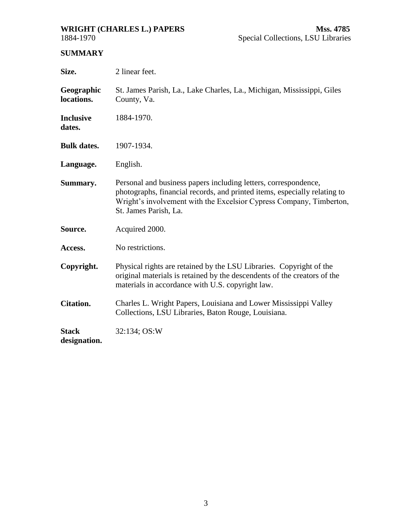<span id="page-2-0"></span>

# **SUMMARY**

| Size.                        | 2 linear feet.                                                                                                                                                                                                                               |  |  |
|------------------------------|----------------------------------------------------------------------------------------------------------------------------------------------------------------------------------------------------------------------------------------------|--|--|
| Geographic<br>locations.     | St. James Parish, La., Lake Charles, La., Michigan, Mississippi, Giles<br>County, Va.                                                                                                                                                        |  |  |
| <b>Inclusive</b><br>dates.   | 1884-1970.                                                                                                                                                                                                                                   |  |  |
| <b>Bulk dates.</b>           | 1907-1934.                                                                                                                                                                                                                                   |  |  |
| Language.                    | English.                                                                                                                                                                                                                                     |  |  |
| Summary.                     | Personal and business papers including letters, correspondence,<br>photographs, financial records, and printed items, especially relating to<br>Wright's involvement with the Excelsior Cypress Company, Timberton,<br>St. James Parish, La. |  |  |
| Source.                      | Acquired 2000.                                                                                                                                                                                                                               |  |  |
| Access.                      | No restrictions.                                                                                                                                                                                                                             |  |  |
| Copyright.                   | Physical rights are retained by the LSU Libraries. Copyright of the<br>original materials is retained by the descendents of the creators of the<br>materials in accordance with U.S. copyright law.                                          |  |  |
| <b>Citation.</b>             | Charles L. Wright Papers, Louisiana and Lower Mississippi Valley<br>Collections, LSU Libraries, Baton Rouge, Louisiana.                                                                                                                      |  |  |
| <b>Stack</b><br>designation. | 32:134; OS:W                                                                                                                                                                                                                                 |  |  |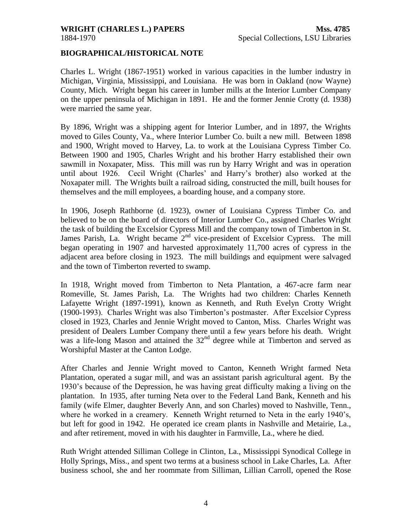#### <span id="page-3-0"></span>**BIOGRAPHICAL/HISTORICAL NOTE**

Charles L. Wright (1867-1951) worked in various capacities in the lumber industry in Michigan, Virginia, Mississippi, and Louisiana. He was born in Oakland (now Wayne) County, Mich. Wright began his career in lumber mills at the Interior Lumber Company on the upper peninsula of Michigan in 1891. He and the former Jennie Crotty (d. 1938) were married the same year.

By 1896, Wright was a shipping agent for Interior Lumber, and in 1897, the Wrights moved to Giles County, Va., where Interior Lumber Co. built a new mill. Between 1898 and 1900, Wright moved to Harvey, La. to work at the Louisiana Cypress Timber Co. Between 1900 and 1905, Charles Wright and his brother Harry established their own sawmill in Noxapater, Miss. This mill was run by Harry Wright and was in operation until about 1926. Cecil Wright (Charles' and Harry's brother) also worked at the Noxapater mill. The Wrights built a railroad siding, constructed the mill, built houses for themselves and the mill employees, a boarding house, and a company store.

In 1906, Joseph Rathborne (d. 1923), owner of Louisiana Cypress Timber Co. and believed to be on the board of directors of Interior Lumber Co., assigned Charles Wright the task of building the Excelsior Cypress Mill and the company town of Timberton in St. James Parish, La. Wright became  $2<sup>nd</sup>$  vice-president of Excelsior Cypress. The mill began operating in 1907 and harvested approximately 11,700 acres of cypress in the adjacent area before closing in 1923. The mill buildings and equipment were salvaged and the town of Timberton reverted to swamp.

In 1918, Wright moved from Timberton to Neta Plantation, a 467-acre farm near Romeville, St. James Parish, La. The Wrights had two children: Charles Kenneth Lafayette Wright (1897-1991), known as Kenneth, and Ruth Evelyn Crotty Wright (1900-1993). Charles Wright was also Timberton's postmaster. After Excelsior Cypress closed in 1923, Charles and Jennie Wright moved to Canton, Miss. Charles Wright was president of Dealers Lumber Company there until a few years before his death. Wright was a life-long Mason and attained the  $32<sup>nd</sup>$  degree while at Timberton and served as Worshipful Master at the Canton Lodge.

After Charles and Jennie Wright moved to Canton, Kenneth Wright farmed Neta Plantation, operated a sugar mill, and was an assistant parish agricultural agent. By the 1930's because of the Depression, he was having great difficulty making a living on the plantation. In 1935, after turning Neta over to the Federal Land Bank, Kenneth and his family (wife Elmer, daughter Beverly Ann, and son Charles) moved to Nashville, Tenn., where he worked in a creamery. Kenneth Wright returned to Neta in the early 1940's, but left for good in 1942. He operated ice cream plants in Nashville and Metairie, La., and after retirement, moved in with his daughter in Farmville, La., where he died.

Ruth Wright attended Silliman College in Clinton, La., Mississippi Synodical College in Holly Springs, Miss., and spent two terms at a business school in Lake Charles, La. After business school, she and her roommate from Silliman, Lillian Carroll, opened the Rose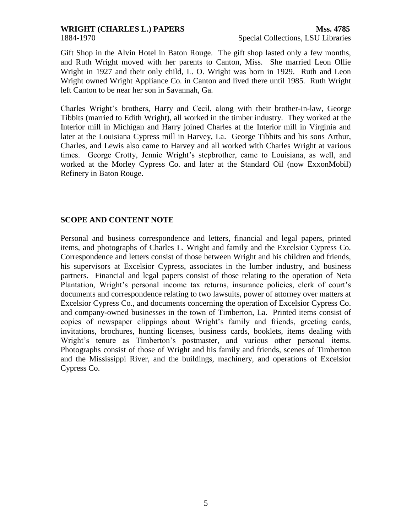<span id="page-4-0"></span>

Gift Shop in the Alvin Hotel in Baton Rouge. The gift shop lasted only a few months, and Ruth Wright moved with her parents to Canton, Miss. She married Leon Ollie Wright in 1927 and their only child, L. O. Wright was born in 1929. Ruth and Leon Wright owned Wright Appliance Co. in Canton and lived there until 1985. Ruth Wright left Canton to be near her son in Savannah, Ga.

Charles Wright's brothers, Harry and Cecil, along with their brother-in-law, George Tibbits (married to Edith Wright), all worked in the timber industry. They worked at the Interior mill in Michigan and Harry joined Charles at the Interior mill in Virginia and later at the Louisiana Cypress mill in Harvey, La. George Tibbits and his sons Arthur, Charles, and Lewis also came to Harvey and all worked with Charles Wright at various times. George Crotty, Jennie Wright's stepbrother, came to Louisiana, as well, and worked at the Morley Cypress Co. and later at the Standard Oil (now ExxonMobil) Refinery in Baton Rouge.

#### **SCOPE AND CONTENT NOTE**

Personal and business correspondence and letters, financial and legal papers, printed items, and photographs of Charles L. Wright and family and the Excelsior Cypress Co. Correspondence and letters consist of those between Wright and his children and friends, his supervisors at Excelsior Cypress, associates in the lumber industry, and business partners. Financial and legal papers consist of those relating to the operation of Neta Plantation, Wright's personal income tax returns, insurance policies, clerk of court's documents and correspondence relating to two lawsuits, power of attorney over matters at Excelsior Cypress Co., and documents concerning the operation of Excelsior Cypress Co. and company-owned businesses in the town of Timberton, La. Printed items consist of copies of newspaper clippings about Wright's family and friends, greeting cards, invitations, brochures, hunting licenses, business cards, booklets, items dealing with Wright's tenure as Timberton's postmaster, and various other personal items. Photographs consist of those of Wright and his family and friends, scenes of Timberton and the Mississippi River, and the buildings, machinery, and operations of Excelsior Cypress Co.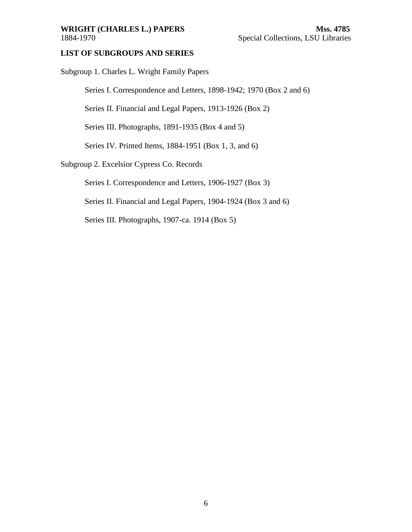#### <span id="page-5-0"></span>WRIGHT (CHARLES L.) PAPERS Mss. 4785 1884-1970 Special Collections, LSU Libraries

#### **LIST OF SUBGROUPS AND SERIES**

Subgroup 1. Charles L. Wright Family Papers

Series I. Correspondence and Letters, 1898-1942; 1970 (Box 2 and 6)

Series II. Financial and Legal Papers, 1913-1926 (Box 2)

Series III. Photographs, 1891-1935 (Box 4 and 5)

Series IV. Printed Items, 1884-1951 (Box 1, 3, and 6)

#### Subgroup 2. Excelsior Cypress Co. Records

Series I. Correspondence and Letters, 1906-1927 (Box 3)

Series II. Financial and Legal Papers, 1904-1924 (Box 3 and 6)

Series III. Photographs, 1907-ca. 1914 (Box 5)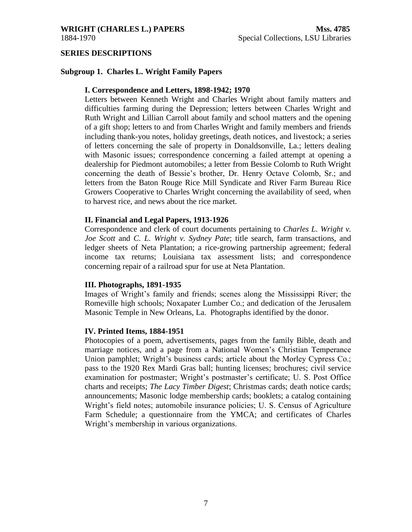<span id="page-6-0"></span>

#### **SERIES DESCRIPTIONS**

#### **Subgroup 1. Charles L. Wright Family Papers**

#### **I. Correspondence and Letters, 1898-1942; 1970**

Letters between Kenneth Wright and Charles Wright about family matters and difficulties farming during the Depression; letters between Charles Wright and Ruth Wright and Lillian Carroll about family and school matters and the opening of a gift shop; letters to and from Charles Wright and family members and friends including thank-you notes, holiday greetings, death notices, and livestock; a series of letters concerning the sale of property in Donaldsonville, La.; letters dealing with Masonic issues; correspondence concerning a failed attempt at opening a dealership for Piedmont automobiles; a letter from Bessie Colomb to Ruth Wright concerning the death of Bessie's brother, Dr. Henry Octave Colomb, Sr.; and letters from the Baton Rouge Rice Mill Syndicate and River Farm Bureau Rice Growers Cooperative to Charles Wright concerning the availability of seed, when to harvest rice, and news about the rice market.

#### **II. Financial and Legal Papers, 1913-1926**

Correspondence and clerk of court documents pertaining to *Charles L. Wright v. Joe Scott* and *C. L. Wright v. Sydney Pate*; title search, farm transactions, and ledger sheets of Neta Plantation; a rice-growing partnership agreement; federal income tax returns; Louisiana tax assessment lists; and correspondence concerning repair of a railroad spur for use at Neta Plantation.

#### **III. Photographs, 1891-1935**

Images of Wright's family and friends; scenes along the Mississippi River; the Romeville high schools; Noxapater Lumber Co.; and dedication of the Jerusalem Masonic Temple in New Orleans, La. Photographs identified by the donor.

#### **IV. Printed Items, 1884-1951**

Photocopies of a poem, advertisements, pages from the family Bible, death and marriage notices, and a page from a National Women's Christian Temperance Union pamphlet; Wright's business cards; article about the Morley Cypress Co.; pass to the 1920 Rex Mardi Gras ball; hunting licenses; brochures; civil service examination for postmaster; Wright's postmaster's certificate; U. S. Post Office charts and receipts; *The Lacy Timber Digest*; Christmas cards; death notice cards; announcements; Masonic lodge membership cards; booklets; a catalog containing Wright's field notes; automobile insurance policies; U. S. Census of Agriculture Farm Schedule; a questionnaire from the YMCA; and certificates of Charles Wright's membership in various organizations.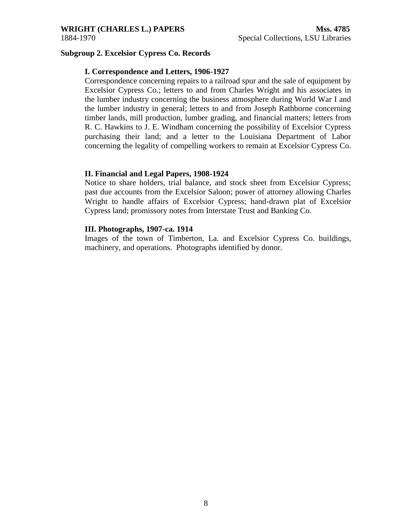#### **Subgroup 2. Excelsior Cypress Co. Records**

#### **I. Correspondence and Letters, 1906-1927**

Correspondence concerning repairs to a railroad spur and the sale of equipment by Excelsior Cypress Co.; letters to and from Charles Wright and his associates in the lumber industry concerning the business atmosphere during World War I and the lumber industry in general; letters to and from Joseph Rathborne concerning timber lands, mill production, lumber grading, and financial matters; letters from R. C. Hawkins to J. E. Windham concerning the possibility of Excelsior Cypress purchasing their land; and a letter to the Louisiana Department of Labor concerning the legality of compelling workers to remain at Excelsior Cypress Co.

#### **II. Financial and Legal Papers, 1908-1924**

Notice to share holders, trial balance, and stock sheet from Excelsior Cypress; past due accounts from the Excelsior Saloon; power of attorney allowing Charles Wright to handle affairs of Excelsior Cypress; hand-drawn plat of Excelsior Cypress land; promissory notes from Interstate Trust and Banking Co.

#### **III. Photographs, 1907-ca. 1914**

Images of the town of Timberton, La. and Excelsior Cypress Co. buildings, machinery, and operations. Photographs identified by donor.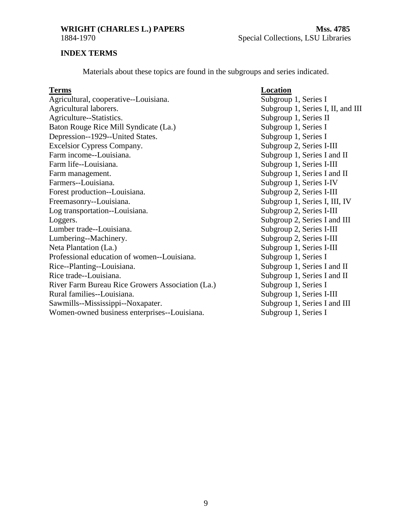<span id="page-8-0"></span>

### **INDEX TERMS**

Materials about these topics are found in the subgroups and series indicated.

#### **Terms Location**

Agricultural, cooperative--Louisiana. Subgroup 1, Series I Agricultural laborers. Subgroup 1, Series I, II, and III Agriculture--Statistics. Subgroup 1, Series II Baton Rouge Rice Mill Syndicate (La.) Subgroup 1, Series I Depression--1929--United States. Subgroup 1, Series I Excelsior Cypress Company. Subgroup 2, Series I-III Farm income--Louisiana. Subgroup 1, Series I and II Farm life--Louisiana. Subgroup 1, Series I-III Farm management. Subgroup 1, Series I and II Farmers--Louisiana. Subgroup 1, Series I-IV Forest production--Louisiana. Subgroup 2, Series I-III Freemasonry--Louisiana. Subgroup 1, Series I, III, IV Log transportation--Louisiana. Subgroup 2, Series I-III Loggers. Subgroup 2, Series I and III Lumber trade--Louisiana. Subgroup 2, Series I-III Lumbering--Machinery. Subgroup 2, Series I-III Neta Plantation (La.) Subgroup 1, Series I-III Professional education of women--Louisiana. Subgroup 1, Series I Rice--Planting--Louisiana. Subgroup 1, Series I and II Rice trade--Louisiana. Subgroup 1, Series I and II River Farm Bureau Rice Growers Association (La.) Subgroup 1, Series I Rural families--Louisiana. Subgroup 1, Series I-III Sawmills--Mississippi--Noxapater. Subgroup 1, Series I and III Women-owned business enterprises--Louisiana. Subgroup 1, Series I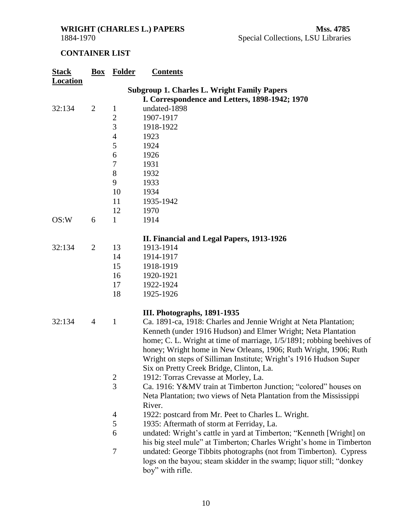## <span id="page-9-0"></span>**CONTAINER LIST**

| <b>Stack</b>    | Box                                                                                                  | <b>Folder</b>  | <b>Contents</b>                                                                                                                                                                                                                                                                                                                                                                                 |  |  |
|-----------------|------------------------------------------------------------------------------------------------------|----------------|-------------------------------------------------------------------------------------------------------------------------------------------------------------------------------------------------------------------------------------------------------------------------------------------------------------------------------------------------------------------------------------------------|--|--|
| <b>Location</b> |                                                                                                      |                |                                                                                                                                                                                                                                                                                                                                                                                                 |  |  |
|                 | <b>Subgroup 1. Charles L. Wright Family Papers</b><br>I. Correspondence and Letters, 1898-1942; 1970 |                |                                                                                                                                                                                                                                                                                                                                                                                                 |  |  |
| 32:134          | $\overline{2}$                                                                                       | $\mathbf{1}$   | undated-1898                                                                                                                                                                                                                                                                                                                                                                                    |  |  |
|                 |                                                                                                      | $\overline{c}$ | 1907-1917                                                                                                                                                                                                                                                                                                                                                                                       |  |  |
|                 |                                                                                                      | 3              | 1918-1922                                                                                                                                                                                                                                                                                                                                                                                       |  |  |
|                 |                                                                                                      | $\overline{4}$ | 1923                                                                                                                                                                                                                                                                                                                                                                                            |  |  |
|                 |                                                                                                      | 5              | 1924                                                                                                                                                                                                                                                                                                                                                                                            |  |  |
|                 |                                                                                                      | 6              | 1926                                                                                                                                                                                                                                                                                                                                                                                            |  |  |
|                 |                                                                                                      | 7              | 1931                                                                                                                                                                                                                                                                                                                                                                                            |  |  |
|                 |                                                                                                      | 8              | 1932                                                                                                                                                                                                                                                                                                                                                                                            |  |  |
|                 |                                                                                                      | 9              | 1933                                                                                                                                                                                                                                                                                                                                                                                            |  |  |
|                 |                                                                                                      | 10             | 1934                                                                                                                                                                                                                                                                                                                                                                                            |  |  |
|                 |                                                                                                      | 11             | 1935-1942                                                                                                                                                                                                                                                                                                                                                                                       |  |  |
|                 |                                                                                                      | 12             | 1970                                                                                                                                                                                                                                                                                                                                                                                            |  |  |
| OS:W            | 6                                                                                                    | $\mathbf{1}$   | 1914                                                                                                                                                                                                                                                                                                                                                                                            |  |  |
|                 |                                                                                                      |                | II. Financial and Legal Papers, 1913-1926                                                                                                                                                                                                                                                                                                                                                       |  |  |
| 32:134          | $\overline{2}$                                                                                       | 13             | 1913-1914                                                                                                                                                                                                                                                                                                                                                                                       |  |  |
|                 |                                                                                                      | 14             | 1914-1917                                                                                                                                                                                                                                                                                                                                                                                       |  |  |
|                 |                                                                                                      | 15             | 1918-1919                                                                                                                                                                                                                                                                                                                                                                                       |  |  |
|                 |                                                                                                      | 16             | 1920-1921                                                                                                                                                                                                                                                                                                                                                                                       |  |  |
|                 |                                                                                                      | 17             | 1922-1924                                                                                                                                                                                                                                                                                                                                                                                       |  |  |
|                 |                                                                                                      | 18             | 1925-1926                                                                                                                                                                                                                                                                                                                                                                                       |  |  |
|                 |                                                                                                      |                | III. Photographs, 1891-1935                                                                                                                                                                                                                                                                                                                                                                     |  |  |
| 32:134          | $\overline{4}$                                                                                       | $\mathbf{1}$   | Ca. 1891-ca, 1918: Charles and Jennie Wright at Neta Plantation;<br>Kenneth (under 1916 Hudson) and Elmer Wright; Neta Plantation<br>home; C. L. Wright at time of marriage, 1/5/1891; robbing beehives of<br>honey; Wright home in New Orleans, 1906; Ruth Wright, 1906; Ruth<br>Wright on steps of Silliman Institute; Wright's 1916 Hudson Super<br>Six on Pretty Creek Bridge, Clinton, La. |  |  |
|                 |                                                                                                      | $\mathbf{2}$   | 1912: Torras Crevasse at Morley, La.                                                                                                                                                                                                                                                                                                                                                            |  |  |
|                 |                                                                                                      | 3              | Ca. 1916: Y&MV train at Timberton Junction; "colored" houses on<br>Neta Plantation; two views of Neta Plantation from the Mississippi<br>River.                                                                                                                                                                                                                                                 |  |  |
|                 |                                                                                                      | 4              | 1922: postcard from Mr. Peet to Charles L. Wright.                                                                                                                                                                                                                                                                                                                                              |  |  |
|                 |                                                                                                      | 5              | 1935: Aftermath of storm at Ferriday, La.                                                                                                                                                                                                                                                                                                                                                       |  |  |
|                 |                                                                                                      | 6              | undated: Wright's cattle in yard at Timberton; "Kenneth [Wright] on<br>his big steel mule" at Timberton; Charles Wright's home in Timberton                                                                                                                                                                                                                                                     |  |  |
|                 |                                                                                                      | 7              | undated: George Tibbits photographs (not from Timberton). Cypress<br>logs on the bayou; steam skidder in the swamp; liquor still; "donkey"<br>boy" with rifle.                                                                                                                                                                                                                                  |  |  |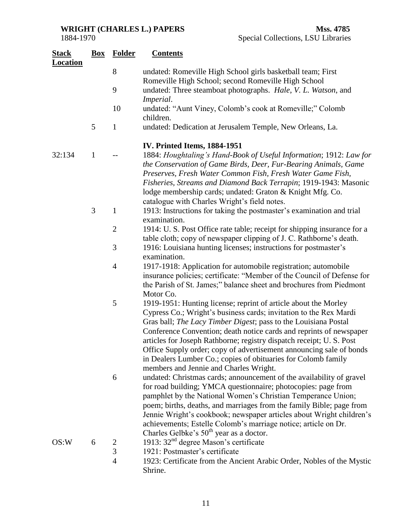| 1884-1970 |  |  |  |  |  |
|-----------|--|--|--|--|--|
|-----------|--|--|--|--|--|

| <b>Stack</b><br>Location |              | <b>Box</b> Folder | <b>Contents</b>                                                                                                                                                                                                                                                                                                                                                                                                                                                                                                                          |
|--------------------------|--------------|-------------------|------------------------------------------------------------------------------------------------------------------------------------------------------------------------------------------------------------------------------------------------------------------------------------------------------------------------------------------------------------------------------------------------------------------------------------------------------------------------------------------------------------------------------------------|
|                          |              | 8                 | undated: Romeville High School girls basketball team; First<br>Romeville High School; second Romeville High School                                                                                                                                                                                                                                                                                                                                                                                                                       |
|                          |              | 9                 | undated: Three steamboat photographs. Hale, V. L. Watson, and<br><i>Imperial.</i>                                                                                                                                                                                                                                                                                                                                                                                                                                                        |
|                          |              | 10                | undated: "Aunt Viney, Colomb's cook at Romeville;" Colomb<br>children.                                                                                                                                                                                                                                                                                                                                                                                                                                                                   |
|                          | 5            | $\mathbf{1}$      | undated: Dedication at Jerusalem Temple, New Orleans, La.                                                                                                                                                                                                                                                                                                                                                                                                                                                                                |
|                          |              |                   | IV. Printed Items, 1884-1951                                                                                                                                                                                                                                                                                                                                                                                                                                                                                                             |
| 32:134                   | $\mathbf{1}$ |                   | 1884: Houghtaling's Hand-Book of Useful Information; 1912: Law for<br>the Conservation of Game Birds, Deer, Fur-Bearing Animals, Game<br>Preserves, Fresh Water Common Fish, Fresh Water Game Fish,<br>Fisheries, Streams and Diamond Back Terrapin; 1919-1943: Masonic<br>lodge membership cards; undated: Graton & Knight Mfg. Co.<br>catalogue with Charles Wright's field notes.                                                                                                                                                     |
|                          | 3            | $\mathbf{1}$      | 1913: Instructions for taking the postmaster's examination and trial<br>examination.                                                                                                                                                                                                                                                                                                                                                                                                                                                     |
|                          |              | $\overline{2}$    | 1914: U. S. Post Office rate table; receipt for shipping insurance for a                                                                                                                                                                                                                                                                                                                                                                                                                                                                 |
|                          |              | 3                 | table cloth; copy of newspaper clipping of J. C. Rathborne's death.<br>1916: Louisiana hunting licenses; instructions for postmaster's                                                                                                                                                                                                                                                                                                                                                                                                   |
|                          |              | $\overline{4}$    | examination.<br>1917-1918: Application for automobile registration; automobile<br>insurance policies; certificate: "Member of the Council of Defense for<br>the Parish of St. James;" balance sheet and brochures from Piedmont<br>Motor Co.                                                                                                                                                                                                                                                                                             |
|                          |              | 5                 | 1919-1951: Hunting license; reprint of article about the Morley<br>Cypress Co.; Wright's business cards; invitation to the Rex Mardi<br>Gras ball; The Lacy Timber Digest; pass to the Louisiana Postal<br>Conference Convention; death notice cards and reprints of newspaper<br>articles for Joseph Rathborne; registry dispatch receipt; U. S. Post<br>Office Supply order; copy of advertisement announcing sale of bonds<br>in Dealers Lumber Co.; copies of obituaries for Colomb family<br>members and Jennie and Charles Wright. |
|                          |              | 6                 | undated: Christmas cards; announcement of the availability of gravel<br>for road building; YMCA questionnaire; photocopies: page from<br>pamphlet by the National Women's Christian Temperance Union;<br>poem; births, deaths, and marriages from the family Bible; page from<br>Jennie Wright's cookbook; newspaper articles about Wright children's<br>achievements; Estelle Colomb's marriage notice; article on Dr.<br>Charles Gelbke's 50 <sup>th</sup> year as a doctor.                                                           |
| OS:W                     | 6            |                   | 1913: $32nd$ degree Mason's certificate                                                                                                                                                                                                                                                                                                                                                                                                                                                                                                  |
|                          |              | $\frac{2}{3}$     | 1921: Postmaster's certificate                                                                                                                                                                                                                                                                                                                                                                                                                                                                                                           |
|                          |              | $\overline{4}$    | 1923: Certificate from the Ancient Arabic Order, Nobles of the Mystic<br>Shrine.                                                                                                                                                                                                                                                                                                                                                                                                                                                         |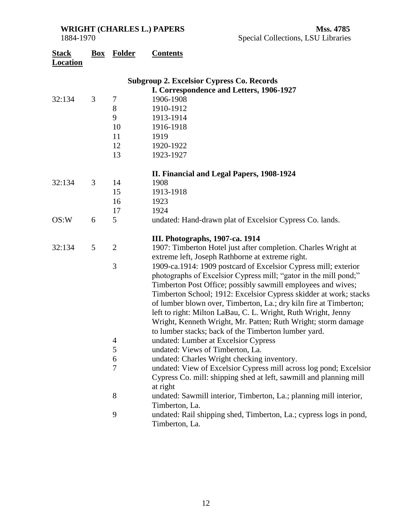| <b>Stack</b><br><b>Location</b>                  | Box | <b>Folder</b>  | <b>Contents</b>                                                                                                    |  |  |
|--------------------------------------------------|-----|----------------|--------------------------------------------------------------------------------------------------------------------|--|--|
| <b>Subgroup 2. Excelsior Cypress Co. Records</b> |     |                |                                                                                                                    |  |  |
|                                                  |     |                | I. Correspondence and Letters, 1906-1927                                                                           |  |  |
| 32:134                                           | 3   | 7              | 1906-1908                                                                                                          |  |  |
|                                                  |     | $8\,$          | 1910-1912                                                                                                          |  |  |
|                                                  |     | 9              | 1913-1914                                                                                                          |  |  |
|                                                  |     | 10             | 1916-1918                                                                                                          |  |  |
|                                                  |     | 11             | 1919                                                                                                               |  |  |
|                                                  |     | 12             | 1920-1922                                                                                                          |  |  |
|                                                  |     | 13             | 1923-1927                                                                                                          |  |  |
|                                                  |     |                | II. Financial and Legal Papers, 1908-1924                                                                          |  |  |
| 32:134                                           | 3   | 14             | 1908                                                                                                               |  |  |
|                                                  |     | 15             | 1913-1918                                                                                                          |  |  |
|                                                  |     | 16             | 1923                                                                                                               |  |  |
|                                                  |     | 17             | 1924                                                                                                               |  |  |
| OS:W                                             | 6   | 5              | undated: Hand-drawn plat of Excelsior Cypress Co. lands.                                                           |  |  |
|                                                  |     |                | III. Photographs, 1907-ca. 1914                                                                                    |  |  |
| 32:134                                           | 5   | $\overline{2}$ | 1907: Timberton Hotel just after completion. Charles Wright at<br>extreme left, Joseph Rathborne at extreme right. |  |  |
|                                                  |     | 3              | 1909-ca.1914: 1909 postcard of Excelsior Cypress mill; exterior                                                    |  |  |
|                                                  |     |                | photographs of Excelsior Cypress mill; "gator in the mill pond;"                                                   |  |  |
|                                                  |     |                | Timberton Post Office; possibly sawmill employees and wives;                                                       |  |  |
|                                                  |     |                | Timberton School; 1912: Excelsior Cypress skidder at work; stacks                                                  |  |  |
|                                                  |     |                | of lumber blown over, Timberton, La.; dry kiln fire at Timberton;                                                  |  |  |
|                                                  |     |                | left to right: Milton LaBau, C. L. Wright, Ruth Wright, Jenny                                                      |  |  |
|                                                  |     |                | Wright, Kenneth Wright, Mr. Patten; Ruth Wright; storm damage                                                      |  |  |
|                                                  |     |                | to lumber stacks; back of the Timberton lumber yard.                                                               |  |  |
|                                                  |     | 4              | undated: Lumber at Excelsior Cypress                                                                               |  |  |
|                                                  |     | 5              | undated: Views of Timberton, La.                                                                                   |  |  |
|                                                  |     | 6              | undated: Charles Wright checking inventory.                                                                        |  |  |
|                                                  |     | $\overline{7}$ | undated: View of Excelsior Cypress mill across log pond; Excelsior                                                 |  |  |
|                                                  |     |                | Cypress Co. mill: shipping shed at left, sawmill and planning mill<br>at right                                     |  |  |
|                                                  |     | 8              | undated: Sawmill interior, Timberton, La.; planning mill interior,                                                 |  |  |
|                                                  |     |                | Timberton, La.                                                                                                     |  |  |
|                                                  |     | 9              | undated: Rail shipping shed, Timberton, La.; cypress logs in pond,<br>Timberton, La.                               |  |  |